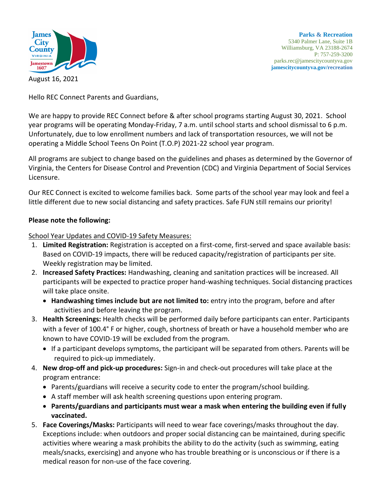

August 16, 2021

**Parks & Recreation** 5340 Palmer Lane, Suite 1B Williamsburg, VA 23188-2674 P: 757-259-3200 parks.rec@jamescitycountyva.gov **jamescitycountyva.gov/recreation**

Hello REC Connect Parents and Guardians,

We are happy to provide REC Connect before & after school programs starting August 30, 2021. School year programs will be operating Monday-Friday, 7 a.m. until school starts and school dismissal to 6 p.m. Unfortunately, due to low enrollment numbers and lack of transportation resources, we will not be operating a Middle School Teens On Point (T.O.P) 2021-22 school year program.

All programs are subject to change based on the guidelines and phases as determined by the Governor of Virginia, the Centers for Disease Control and Prevention (CDC) and Virginia Department of Social Services Licensure.

Our REC Connect is excited to welcome families back. Some parts of the school year may look and feel a little different due to new social distancing and safety practices. Safe FUN still remains our priority!

## **Please note the following:**

## School Year Updates and COVID-19 Safety Measures:

- 1. **Limited Registration:** Registration is accepted on a first-come, first-served and space available basis: Based on COVID-19 impacts, there will be reduced capacity/registration of participants per site. Weekly registration may be limited.
- 2. **Increased Safety Practices:** Handwashing, cleaning and sanitation practices will be increased. All participants will be expected to practice proper hand-washing techniques. Social distancing practices will take place onsite.
	- **Handwashing times include but are not limited to:** entry into the program, before and after activities and before leaving the program.
- 3. **Health Screenings:** Health checks will be performed daily before participants can enter. Participants with a fever of 100.4° F or higher, cough, shortness of breath or have a household member who are known to have COVID-19 will be excluded from the program.
	- If a participant develops symptoms, the participant will be separated from others. Parents will be required to pick-up immediately.
- 4. **New drop-off and pick-up procedures:** Sign-in and check-out procedures will take place at the program entrance:
	- Parents/guardians will receive a security code to enter the program/school building.
	- A staff member will ask health screening questions upon entering program.
	- **Parents/guardians and participants must wear a mask when entering the building even if fully vaccinated.**
- 5. **Face Coverings/Masks:** Participants will need to wear face coverings/masks throughout the day. Exceptions include: when outdoors and proper social distancing can be maintained, during specific activities where wearing a mask prohibits the ability to do the activity (such as swimming, eating meals/snacks, exercising) and anyone who has trouble breathing or is unconscious or if there is a medical reason for non-use of the face covering.